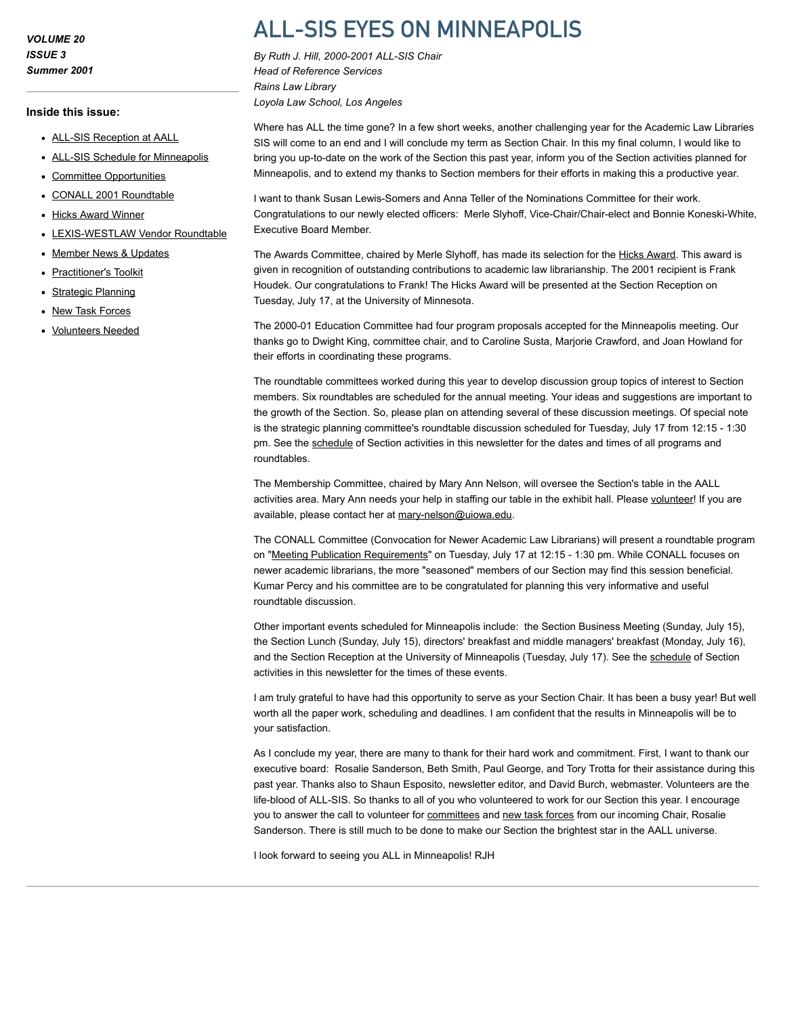VOLUME 20 ISSUE 3 Summer 2001

#### Inside this issue:

- [ALL-SIS Reception at AALL](http://www.aallnet.org/gm-node/33653.aspx)
- [ALL-SIS Schedule for Minneapolis](http://www.aallnet.org/gm-node/33654.aspx)
- [Committee Opportunities](http://www.aallnet.org/gm-node/33648.aspx)
- [CONALL 2001 Roundtable](http://www.aallnet.org/gm-node/33649.aspx)
- [Hicks Award Winner](http://www.aallnet.org/gm-node/33650.aspx)
- [LEXIS-WESTLAW Vendor Roundtable](http://www.aallnet.org/gm-node/33657.aspx)
- [Member News & Updates](http://www.aallnet.org/gm-node/33651.aspx)
- [Practitioner's Toolkit](http://www.aallnet.org/gm-node/33652.aspx)
- [Strategic Planning](http://www.aallnet.org/gm-node/33655.aspx)
- [New Task Forces](http://www.aallnet.org/gm-node/33656.aspx)
- [Volunteers Needed](http://www.aallnet.org/gm-node/33658.aspx)

# ALL-SIS EYES ON MINNEAPOLIS

By Ruth J. Hill, 2000-2001 ALL-SIS Chair Head of Reference Services Rains Law Library Loyola Law School, Los Angeles

Where has ALL the time gone? In a few short weeks, another challenging year for the Academic Law Libraries SIS will come to an end and I will conclude my term as Section Chair. In this my final column, I would like to bring you up-to-date on the work of the Section this past year, inform you of the Section activities planned for Minneapolis, and to extend my thanks to Section members for their efforts in making this a productive year.

I want to thank Susan Lewis-Somers and Anna Teller of the Nominations Committee for their work. Congratulations to our newly elected officers: Merle Slyhoff, Vice-Chair/Chair-elect and Bonnie Koneski-White, Executive Board Member.

The Awards Committee, chaired by Merle Slyhoff, has made its selection for the [Hicks Award](http://www.aallnet.org/gm-node/33650.aspx). This award is given in recognition of outstanding contributions to academic law librarianship. The 2001 recipient is Frank Houdek. Our congratulations to Frank! The Hicks Award will be presented at the Section Reception on Tuesday, July 17, at the University of Minnesota.

The 2000-01 Education Committee had four program proposals accepted for the Minneapolis meeting. Our thanks go to Dwight King, committee chair, and to Caroline Susta, Marjorie Crawford, and Joan Howland for their efforts in coordinating these programs.

The roundtable committees worked during this year to develop discussion group topics of interest to Section members. Six roundtables are scheduled for the annual meeting. Your ideas and suggestions are important to the growth of the Section. So, please plan on attending several of these discussion meetings. Of special note is the strategic planning committee's roundtable discussion scheduled for Tuesday, July 17 from 12:15 - 1:30 pm. See the [schedule](http://www.aallnet.org/gm-node/33654.aspx) of Section activities in this newsletter for the dates and times of all programs and roundtables.

The Membership Committee, chaired by Mary Ann Nelson, will oversee the Section's table in the AALL activities area. Mary Ann needs your help in staffing our table in the exhibit hall. Please [volunteer!](http://www.aallnet.org/gm-node/33658.aspx) If you are available, please contact her at [mary-nelson@uiowa.edu](mailto:mary-nelson@uiowa.edu).

The CONALL Committee (Convocation for Newer Academic Law Librarians) will present a roundtable program on "[Meeting Publication Requirements"](http://www.aallnet.org/gm-node/33649.aspx) on Tuesday, July 17 at 12:15 - 1:30 pm. While CONALL focuses on newer academic librarians, the more "seasoned" members of our Section may find this session beneficial. Kumar Percy and his committee are to be congratulated for planning this very informative and useful roundtable discussion.

Other important events scheduled for Minneapolis include: the Section Business Meeting (Sunday, July 15), the Section Lunch (Sunday, July 15), directors' breakfast and middle managers' breakfast (Monday, July 16), and the Section Reception at the University of Minneapolis (Tuesday, July 17). See the [schedule](http://www.aallnet.org/gm-node/33654.aspx) of Section activities in this newsletter for the times of these events.

I am truly grateful to have had this opportunity to serve as your Section Chair. It has been a busy year! But well worth all the paper work, scheduling and deadlines. I am confident that the results in Minneapolis will be to your satisfaction.

As I conclude my year, there are many to thank for their hard work and commitment. First, I want to thank our executive board: Rosalie Sanderson, Beth Smith, Paul George, and Tory Trotta for their assistance during this past year. Thanks also to Shaun Esposito, newsletter editor, and David Burch, webmaster. Volunteers are the life-blood of ALL-SIS. So thanks to all of you who volunteered to work for our Section this year. I encourage you to answer the call to volunteer for [committees](http://www.aallnet.org/gm-node/33648.aspx) and [new task forces](http://www.aallnet.org/gm-node/33656.aspx) from our incoming Chair, Rosalie Sanderson. There is still much to be done to make our Section the brightest star in the AALL universe.

I look forward to seeing you ALL in Minneapolis! RJH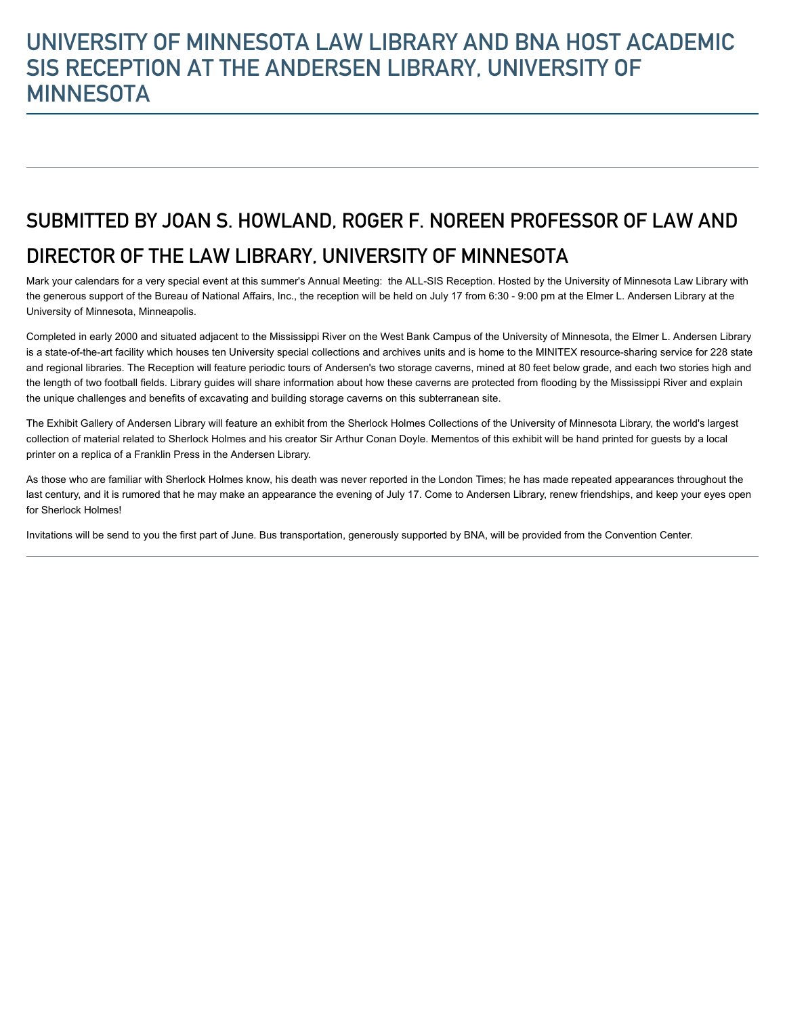# UNIVERSITY OF MINNESOTA LAW LIBRARY AND BNA HOST ACADEMIC SIS RECEPTION AT THE ANDERSEN LIBRARY, UNIVERSITY OF **MINNESOTA**

# SUBMITTED BY JOAN S. HOWLAND, ROGER F. NOREEN PROFESSOR OF LAW AND DIRECTOR OF THE LAW LIBRARY, UNIVERSITY OF MINNESOTA

Mark your calendars for a very special event at this summer's Annual Meeting: the ALL-SIS Reception. Hosted by the University of Minnesota Law Library with the generous support of the Bureau of National Affairs, Inc., the reception will be held on July 17 from 6:30 - 9:00 pm at the Elmer L. Andersen Library at the University of Minnesota, Minneapolis.

Completed in early 2000 and situated adjacent to the Mississippi River on the West Bank Campus of the University of Minnesota, the Elmer L. Andersen Library is a state-of-the-art facility which houses ten University special collections and archives units and is home to the MINITEX resource-sharing service for 228 state and regional libraries. The Reception will feature periodic tours of Andersen's two storage caverns, mined at 80 feet below grade, and each two stories high and the length of two football fields. Library guides will share information about how these caverns are protected from flooding by the Mississippi River and explain the unique challenges and benefits of excavating and building storage caverns on this subterranean site.

The Exhibit Gallery of Andersen Library will feature an exhibit from the Sherlock Holmes Collections of the University of Minnesota Library, the world's largest collection of material related to Sherlock Holmes and his creator Sir Arthur Conan Doyle. Mementos of this exhibit will be hand printed for guests by a local printer on a replica of a Franklin Press in the Andersen Library.

As those who are familiar with Sherlock Holmes know, his death was never reported in the London Times; he has made repeated appearances throughout the last century, and it is rumored that he may make an appearance the evening of July 17. Come to Andersen Library, renew friendships, and keep your eyes open for Sherlock Holmes!

Invitations will be send to you the first part of June. Bus transportation, generously supported by BNA, will be provided from the Convention Center.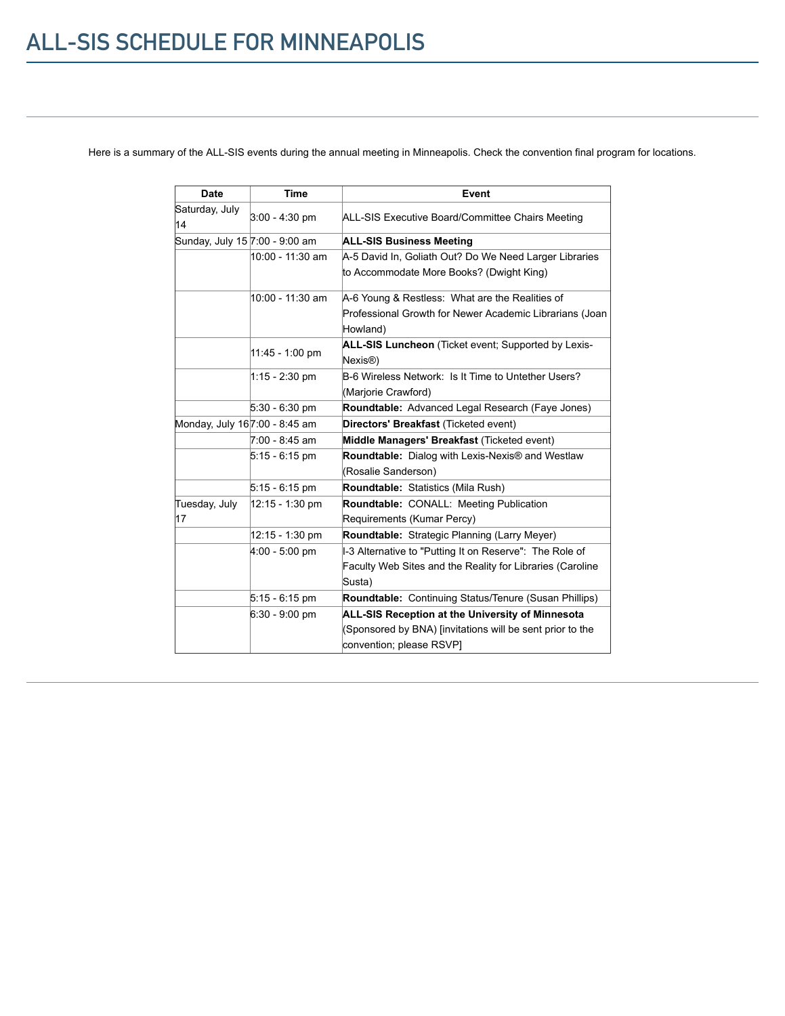Here is a summary of the ALL-SIS events during the annual meeting in Minneapolis. Check the convention final program for locations.

| <b>Date</b>                    | <b>Time</b>      | Event                                                               |  |  |
|--------------------------------|------------------|---------------------------------------------------------------------|--|--|
| Saturday, July<br>14           | $3:00 - 4:30$ pm | ALL-SIS Executive Board/Committee Chairs Meeting                    |  |  |
| Sunday, July 15 7:00 - 9:00 am |                  | <b>ALL-SIS Business Meeting</b>                                     |  |  |
|                                | 10:00 - 11:30 am | A-5 David In, Goliath Out? Do We Need Larger Libraries              |  |  |
|                                |                  | to Accommodate More Books? (Dwight King)                            |  |  |
|                                | 10:00 - 11:30 am | A-6 Young & Restless: What are the Realities of                     |  |  |
|                                |                  | Professional Growth for Newer Academic Librarians (Joan             |  |  |
|                                |                  | Howland)                                                            |  |  |
|                                |                  | ALL-SIS Luncheon (Ticket event; Supported by Lexis-                 |  |  |
|                                | 11:45 - 1:00 pm  | Nexis <sup>®</sup> )                                                |  |  |
|                                | 1:15 - 2:30 pm   | B-6 Wireless Network: Is It Time to Untether Users?                 |  |  |
|                                |                  | (Marjorie Crawford)                                                 |  |  |
|                                | $5:30 - 6:30$ pm | Roundtable: Advanced Legal Research (Faye Jones)                    |  |  |
| Monday, July 167:00 - 8:45 am  |                  | Directors' Breakfast (Ticketed event)                               |  |  |
|                                | 7:00 - 8:45 am   | Middle Managers' Breakfast (Ticketed event)                         |  |  |
|                                | $5:15 - 6:15$ pm | <b>Roundtable:</b> Dialog with Lexis-Nexis <sup>®</sup> and Westlaw |  |  |
|                                |                  | (Rosalie Sanderson)                                                 |  |  |
|                                | $5:15 - 6:15$ pm | <b>Roundtable:</b> Statistics (Mila Rush)                           |  |  |
| Tuesday, July                  | 12:15 - 1:30 pm  | Roundtable: CONALL: Meeting Publication                             |  |  |
| 17                             |                  | Requirements (Kumar Percy)                                          |  |  |
|                                | 12:15 - 1:30 pm  | Roundtable: Strategic Planning (Larry Meyer)                        |  |  |
|                                | $4:00 - 5:00$ pm | -3 Alternative to "Putting It on Reserve": The Role of              |  |  |
|                                |                  | Faculty Web Sites and the Reality for Libraries (Caroline           |  |  |
|                                |                  | Susta)                                                              |  |  |
|                                | $5:15 - 6:15$ pm | <b>Roundtable:</b> Continuing Status/Tenure (Susan Phillips)        |  |  |
|                                | $6:30 - 9:00$ pm | ALL-SIS Reception at the University of Minnesota                    |  |  |
|                                |                  | (Sponsored by BNA) [invitations will be sent prior to the           |  |  |
|                                |                  | convention; please RSVP]                                            |  |  |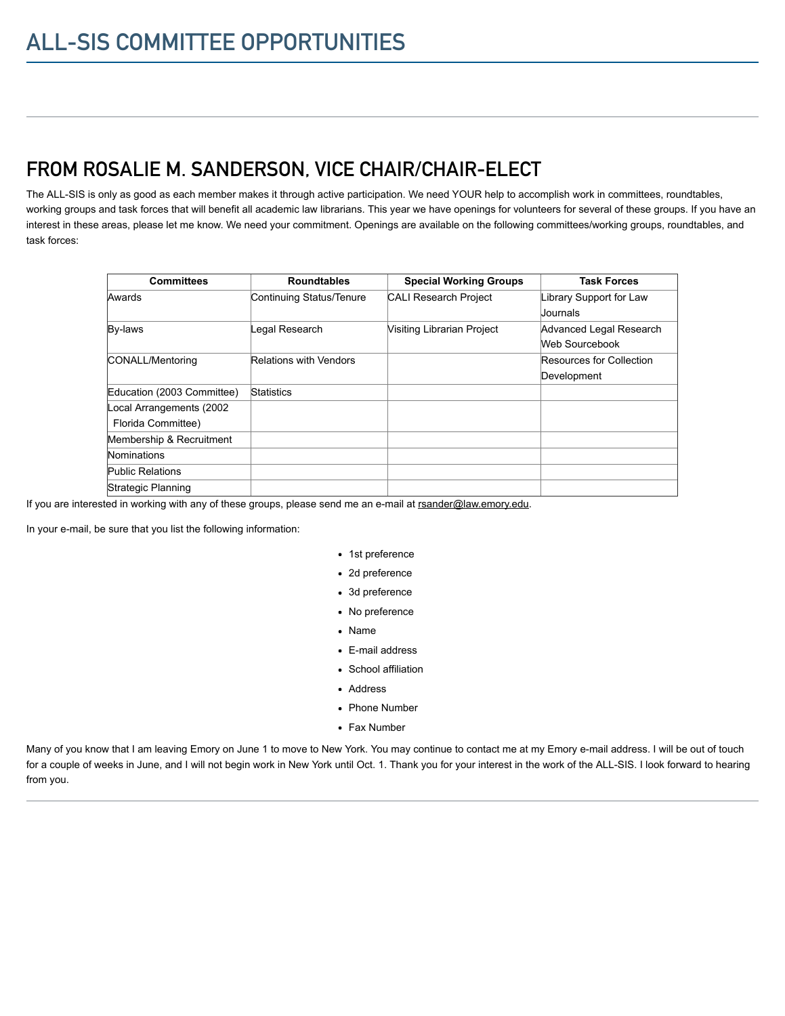# FROM ROSALIE M. SANDERSON, VICE CHAIR/CHAIR-ELECT

The ALL-SIS is only as good as each member makes it through active participation. We need YOUR help to accomplish work in committees, roundtables, working groups and task forces that will benefit all academic law librarians. This year we have openings for volunteers for several of these groups. If you have an interest in these areas, please let me know. We need your commitment. Openings are available on the following committees/working groups, roundtables, and task forces:

| <b>Committees</b>          | <b>Roundtables</b>            | <b>Special Working Groups</b> | <b>Task Forces</b>       |
|----------------------------|-------------------------------|-------------------------------|--------------------------|
| Awards                     | Continuing Status/Tenure      | <b>CALI Research Project</b>  | Library Support for Law  |
|                            |                               |                               | Uournals                 |
| By-laws                    | Legal Research                | Visiting Librarian Project    | Advanced Legal Research  |
|                            |                               |                               | Web Sourcebook           |
| CONALL/Mentoring           | <b>Relations with Vendors</b> |                               | Resources for Collection |
|                            |                               |                               | Development              |
| Education (2003 Committee) | <b>Statistics</b>             |                               |                          |
| Local Arrangements (2002   |                               |                               |                          |
| Florida Committee)         |                               |                               |                          |
| Membership & Recruitment   |                               |                               |                          |
| Nominations                |                               |                               |                          |
| Public Relations           |                               |                               |                          |
| Strategic Planning         |                               |                               |                          |

If you are interested in working with any of these groups, please send me an e-mail at [rsander@law.emory.edu.](mailto:rsander@law.emory.edu)

In your e-mail, be sure that you list the following information:

- 1st preference
- 2d preference
- 3d preference
- No preference
- Name
- E-mail address
- School affiliation
- Address
- Phone Number
- Fax Number

Many of you know that I am leaving Emory on June 1 to move to New York. You may continue to contact me at my Emory e-mail address. I will be out of touch for a couple of weeks in June, and I will not begin work in New York until Oct. 1. Thank you for your interest in the work of the ALL-SIS. I look forward to hearing from you.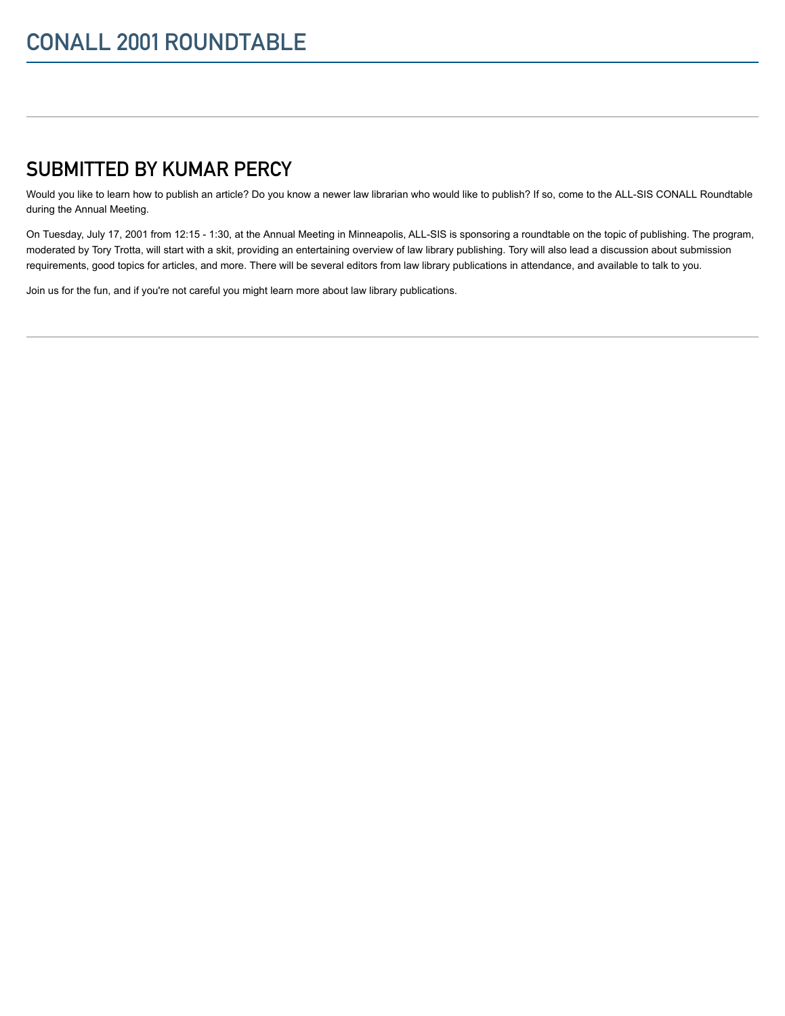# SUBMITTED BY KUMAR PERCY

Would you like to learn how to publish an article? Do you know a newer law librarian who would like to publish? If so, come to the ALL-SIS CONALL Roundtable during the Annual Meeting.

On Tuesday, July 17, 2001 from 12:15 - 1:30, at the Annual Meeting in Minneapolis, ALL-SIS is sponsoring a roundtable on the topic of publishing. The program, moderated by Tory Trotta, will start with a skit, providing an entertaining overview of law library publishing. Tory will also lead a discussion about submission requirements, good topics for articles, and more. There will be several editors from law library publications in attendance, and available to talk to you.

Join us for the fun, and if you're not careful you might learn more about law library publications.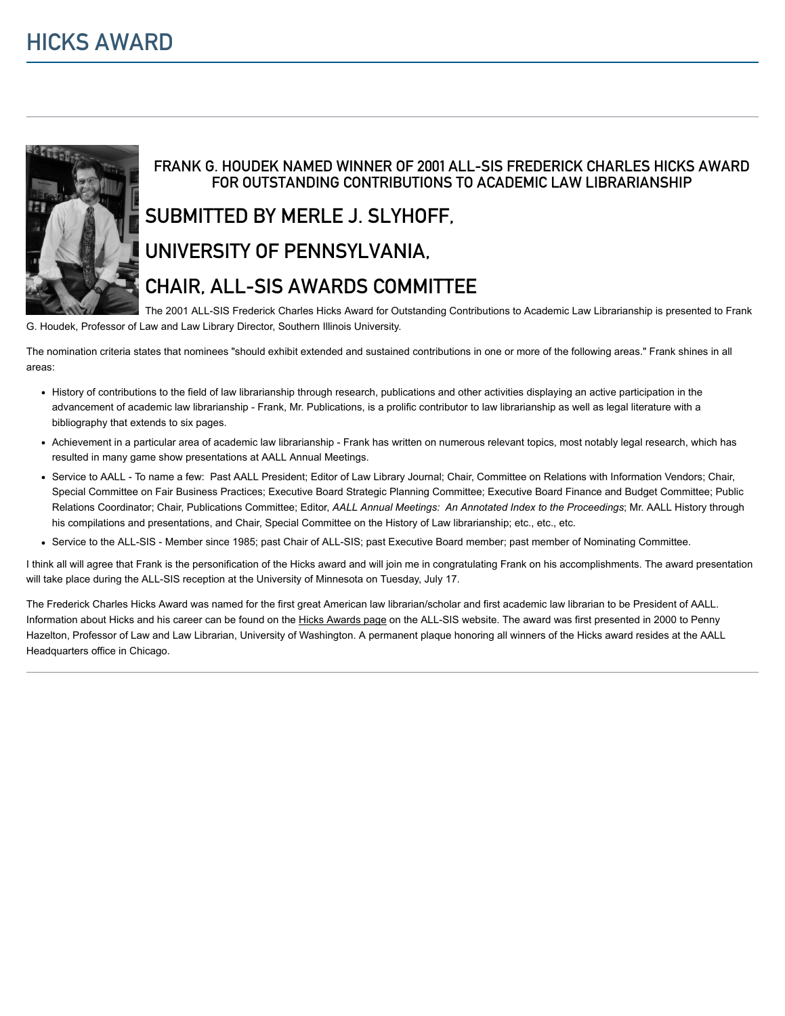

### FRANK G. HOUDEK NAMED WINNER OF 2001 ALL-SIS FREDERICK CHARLES HICKS AWARD FOR OUTSTANDING CONTRIBUTIONS TO ACADEMIC LAW LIBRARIANSHIP

# SUBMITTED BY MERLE J. SLYHOFF,

### UNIVERSITY OF PENNSYLVANIA,

# CHAIR, ALL-SIS AWARDS COMMITTEE

The 2001 ALL-SIS Frederick Charles Hicks Award for Outstanding Contributions to Academic Law Librarianship is presented to Frank G. Houdek, Professor of Law and Law Library Director, Southern Illinois University.

The nomination criteria states that nominees "should exhibit extended and sustained contributions in one or more of the following areas." Frank shines in all areas:

- History of contributions to the field of law librarianship through research, publications and other activities displaying an active participation in the advancement of academic law librarianship - Frank, Mr. Publications, is a prolific contributor to law librarianship as well as legal literature with a bibliography that extends to six pages.
- Achievement in a particular area of academic law librarianship Frank has written on numerous relevant topics, most notably legal research, which has resulted in many game show presentations at AALL Annual Meetings.
- Service to AALL To name a few: Past AALL President; Editor of Law Library Journal; Chair, Committee on Relations with Information Vendors; Chair, Special Committee on Fair Business Practices; Executive Board Strategic Planning Committee; Executive Board Finance and Budget Committee; Public Relations Coordinator; Chair, Publications Committee; Editor, AALL Annual Meetings: An Annotated Index to the Proceedings; Mr. AALL History through his compilations and presentations, and Chair, Special Committee on the History of Law librarianship; etc., etc., etc.
- Service to the ALL-SIS Member since 1985; past Chair of ALL-SIS; past Executive Board member; past member of Nominating Committee.

I think all will agree that Frank is the personification of the Hicks award and will join me in congratulating Frank on his accomplishments. The award presentation will take place during the ALL-SIS reception at the University of Minnesota on Tuesday, July 17.

The Frederick Charles Hicks Award was named for the first great American law librarian/scholar and first academic law librarian to be President of AALL. Information about Hicks and his career can be found on the [Hicks Awards page](http://www.aallnet.org/gm-node/32970.aspx) on the ALL-SIS website. The award was first presented in 2000 to Penny Hazelton, Professor of Law and Law Librarian, University of Washington. A permanent plaque honoring all winners of the Hicks award resides at the AALL Headquarters office in Chicago.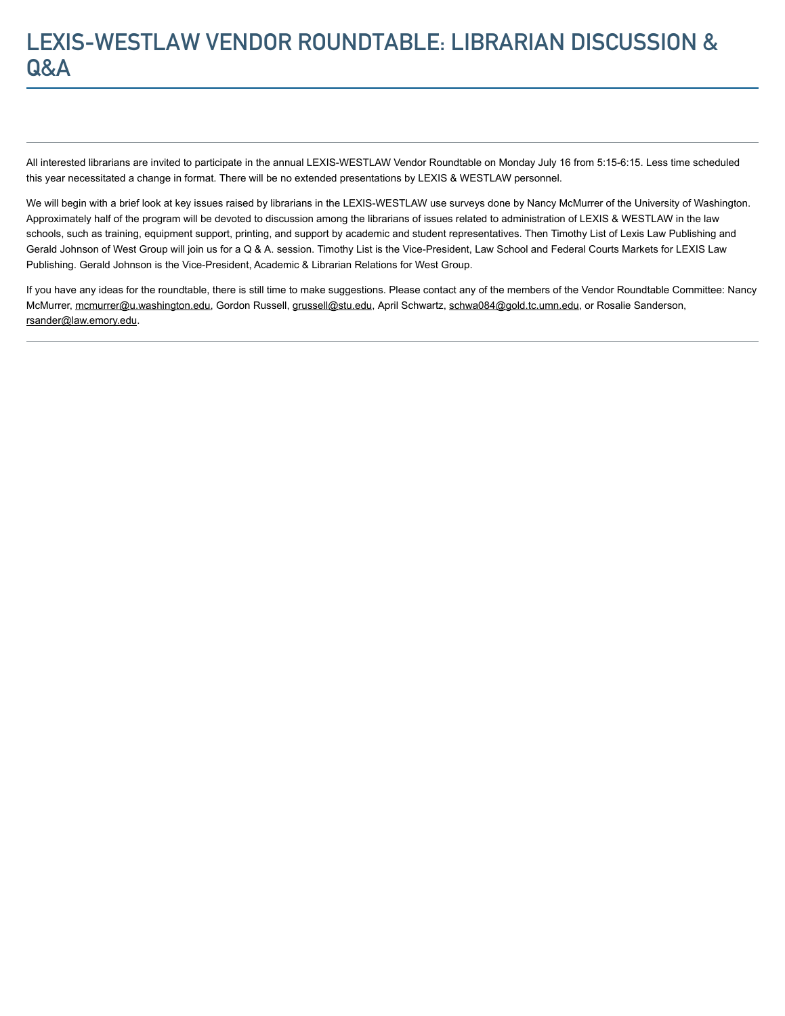# LEXIS-WESTLAW VENDOR ROUNDTABLE: LIBRARIAN DISCUSSION & Q&A

All interested librarians are invited to participate in the annual LEXIS-WESTLAW Vendor Roundtable on Monday July 16 from 5:15-6:15. Less time scheduled this year necessitated a change in format. There will be no extended presentations by LEXIS & WESTLAW personnel.

We will begin with a brief look at key issues raised by librarians in the LEXIS-WESTLAW use surveys done by Nancy McMurrer of the University of Washington. Approximately half of the program will be devoted to discussion among the librarians of issues related to administration of LEXIS & WESTLAW in the law schools, such as training, equipment support, printing, and support by academic and student representatives. Then Timothy List of Lexis Law Publishing and Gerald Johnson of West Group will join us for a Q & A. session. Timothy List is the Vice-President, Law School and Federal Courts Markets for LEXIS Law Publishing. Gerald Johnson is the Vice-President, Academic & Librarian Relations for West Group.

If you have any ideas for the roundtable, there is still time to make suggestions. Please contact any of the members of the Vendor Roundtable Committee: Nancy McMurrer, [mcmurrer@u.washington.edu,](mailto:mcmurrer@u.washington.edu) Gordon Russell, [grussell@stu.edu,](mailto:grussell@stu.edu) April Schwartz, [schwa084@gold.tc.umn.edu,](mailto:schwa084@gold.tc.umn.edu) or Rosalie Sanderson, [rsander@law.emory.edu](mailto:rsander@law.emory.edu).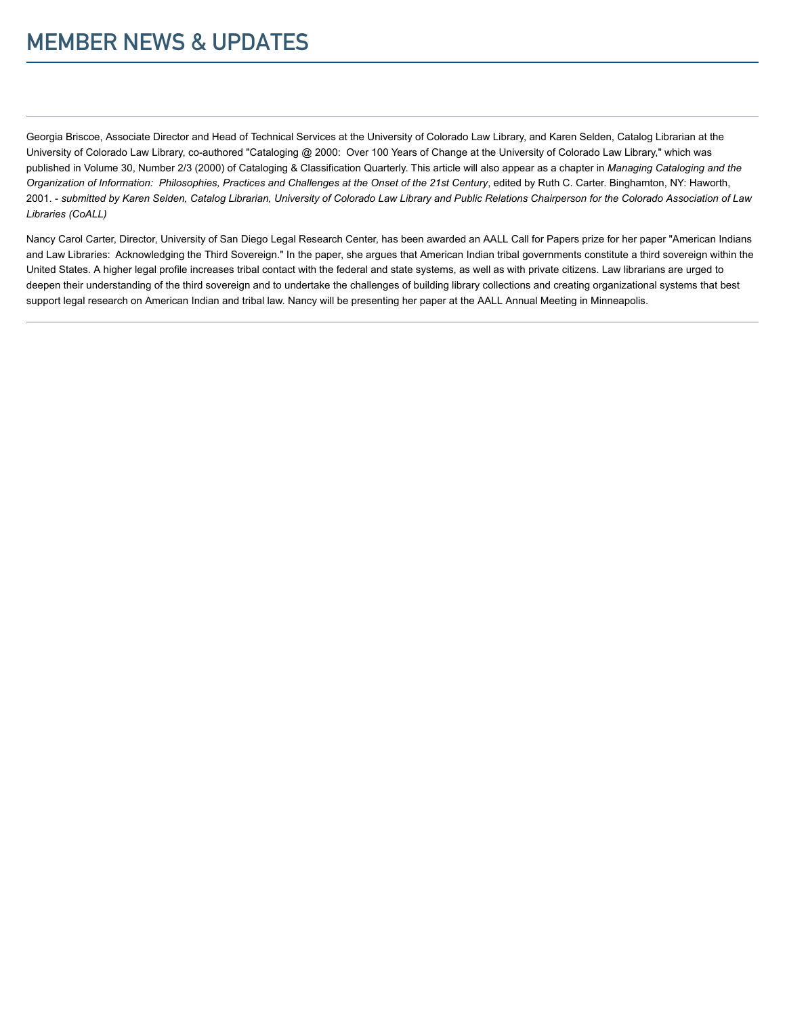Georgia Briscoe, Associate Director and Head of Technical Services at the University of Colorado Law Library, and Karen Selden, Catalog Librarian at the University of Colorado Law Library, co-authored "Cataloging @ 2000: Over 100 Years of Change at the University of Colorado Law Library," which was published in Volume 30, Number 2/3 (2000) of Cataloging & Classification Quarterly. This article will also appear as a chapter in Managing Cataloging and the Organization of Information: Philosophies, Practices and Challenges at the Onset of the 21st Century, edited by Ruth C. Carter. Binghamton, NY: Haworth, 2001. - submitted by Karen Selden, Catalog Librarian, University of Colorado Law Library and Public Relations Chairperson for the Colorado Association of Law Libraries (CoALL)

Nancy Carol Carter, Director, University of San Diego Legal Research Center, has been awarded an AALL Call for Papers prize for her paper "American Indians and Law Libraries: Acknowledging the Third Sovereign." In the paper, she argues that American Indian tribal governments constitute a third sovereign within the United States. A higher legal profile increases tribal contact with the federal and state systems, as well as with private citizens. Law librarians are urged to deepen their understanding of the third sovereign and to undertake the challenges of building library collections and creating organizational systems that best support legal research on American Indian and tribal law. Nancy will be presenting her paper at the AALL Annual Meeting in Minneapolis.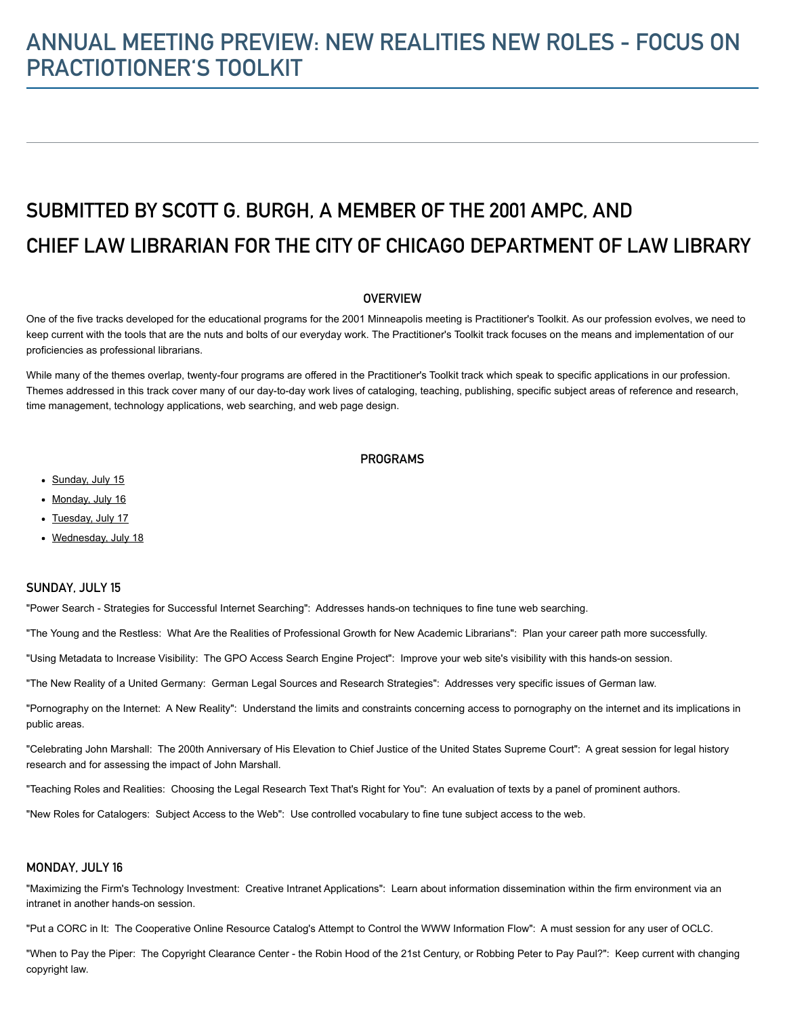# ANNUAL MEETING PREVIEW: NEW REALITIES NEW ROLES - FOCUS ON PRACTIOTIONER'S TOOLKIT

# SUBMITTED BY SCOTT G. BURGH, A MEMBER OF THE 2001 AMPC, AND CHIEF LAW LIBRARIAN FOR THE CITY OF CHICAGO DEPARTMENT OF LAW LIBRARY

#### **OVERVIEW**

One of the five tracks developed for the educational programs for the 2001 Minneapolis meeting is Practitioner's Toolkit. As our profession evolves, we need to keep current with the tools that are the nuts and bolts of our everyday work. The Practitioner's Toolkit track focuses on the means and implementation of our proficiencies as professional librarians.

While many of the themes overlap, twenty-four programs are offered in the Practitioner's Toolkit track which speak to specific applications in our profession. Themes addressed in this track cover many of our day-to-day work lives of cataloging, teaching, publishing, specific subject areas of reference and research, time management, technology applications, web searching, and web page design.

#### **PROGRAMS**

- [Sunday, July 15](#page-8-0)
- [Monday, July 16](#page-8-1)
- [Tuesday, July 17](#page-9-0)
- [Wednesday, July 18](#page-9-1)

#### <span id="page-8-0"></span>SUNDAY, JULY 15

"Power Search - Strategies for Successful Internet Searching": Addresses hands-on techniques to fine tune web searching.

"The Young and the Restless: What Are the Realities of Professional Growth for New Academic Librarians": Plan your career path more successfully.

"Using Metadata to Increase Visibility: The GPO Access Search Engine Project": Improve your web site's visibility with this hands-on session.

"The New Reality of a United Germany: German Legal Sources and Research Strategies": Addresses very specific issues of German law.

"Pornography on the Internet: A New Reality": Understand the limits and constraints concerning access to pornography on the internet and its implications in public areas.

"Celebrating John Marshall: The 200th Anniversary of His Elevation to Chief Justice of the United States Supreme Court": A great session for legal history research and for assessing the impact of John Marshall.

"Teaching Roles and Realities: Choosing the Legal Research Text That's Right for You": An evaluation of texts by a panel of prominent authors.

"New Roles for Catalogers: Subject Access to the Web": Use controlled vocabulary to fine tune subject access to the web.

#### <span id="page-8-1"></span>MONDAY, JULY 16

"Maximizing the Firm's Technology Investment: Creative Intranet Applications": Learn about information dissemination within the firm environment via an intranet in another hands-on session.

"Put a CORC in It: The Cooperative Online Resource Catalog's Attempt to Control the WWW Information Flow": A must session for any user of OCLC.

"When to Pay the Piper: The Copyright Clearance Center - the Robin Hood of the 21st Century, or Robbing Peter to Pay Paul?": Keep current with changing copyright law.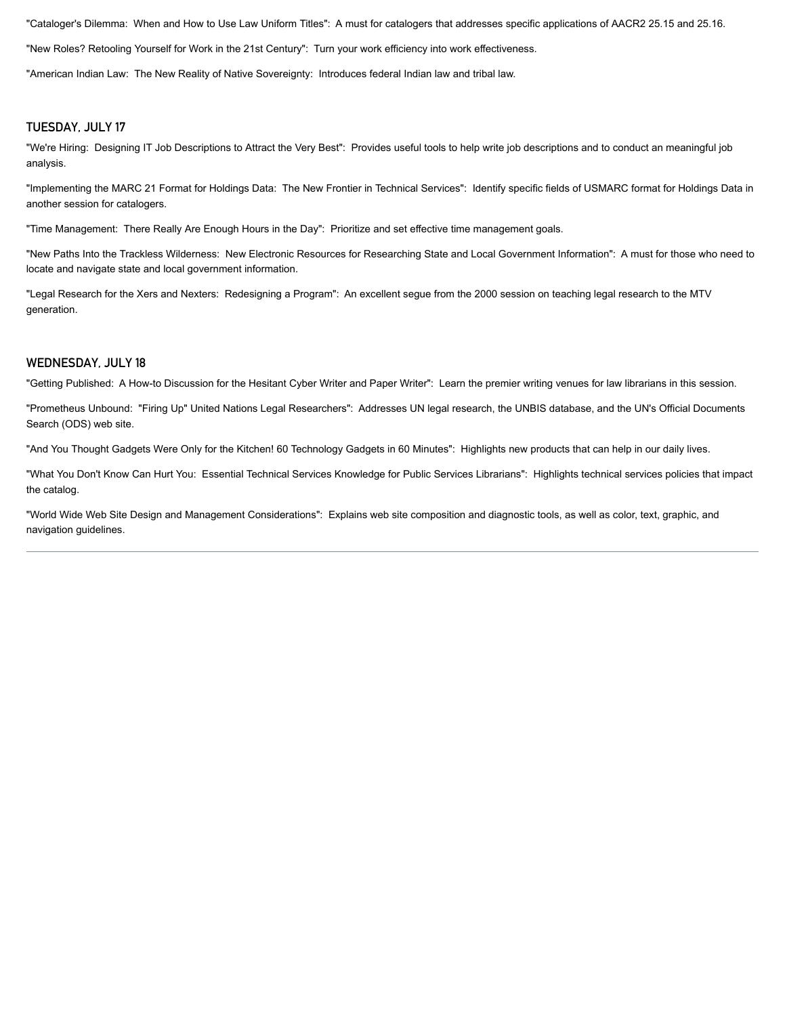"Cataloger's Dilemma: When and How to Use Law Uniform Titles": A must for catalogers that addresses specific applications of AACR2 25.15 and 25.16.

"New Roles? Retooling Yourself for Work in the 21st Century": Turn your work efficiency into work effectiveness.

"American Indian Law: The New Reality of Native Sovereignty: Introduces federal Indian law and tribal law.

#### <span id="page-9-0"></span>TUESDAY, JULY 17

"We're Hiring: Designing IT Job Descriptions to Attract the Very Best": Provides useful tools to help write job descriptions and to conduct an meaningful job analysis.

"Implementing the MARC 21 Format for Holdings Data: The New Frontier in Technical Services": Identify specific fields of USMARC format for Holdings Data in another session for catalogers.

"Time Management: There Really Are Enough Hours in the Day": Prioritize and set effective time management goals.

"New Paths Into the Trackless Wilderness: New Electronic Resources for Researching State and Local Government Information": A must for those who need to locate and navigate state and local government information.

"Legal Research for the Xers and Nexters: Redesigning a Program": An excellent segue from the 2000 session on teaching legal research to the MTV generation.

#### <span id="page-9-1"></span>WEDNESDAY, JULY 18

"Getting Published: A How-to Discussion for the Hesitant Cyber Writer and Paper Writer": Learn the premier writing venues for law librarians in this session.

"Prometheus Unbound: "Firing Up" United Nations Legal Researchers": Addresses UN legal research, the UNBIS database, and the UN's Official Documents Search (ODS) web site.

"And You Thought Gadgets Were Only for the Kitchen! 60 Technology Gadgets in 60 Minutes": Highlights new products that can help in our daily lives.

"What You Don't Know Can Hurt You: Essential Technical Services Knowledge for Public Services Librarians": Highlights technical services policies that impact the catalog.

"World Wide Web Site Design and Management Considerations": Explains web site composition and diagnostic tools, as well as color, text, graphic, and navigation guidelines.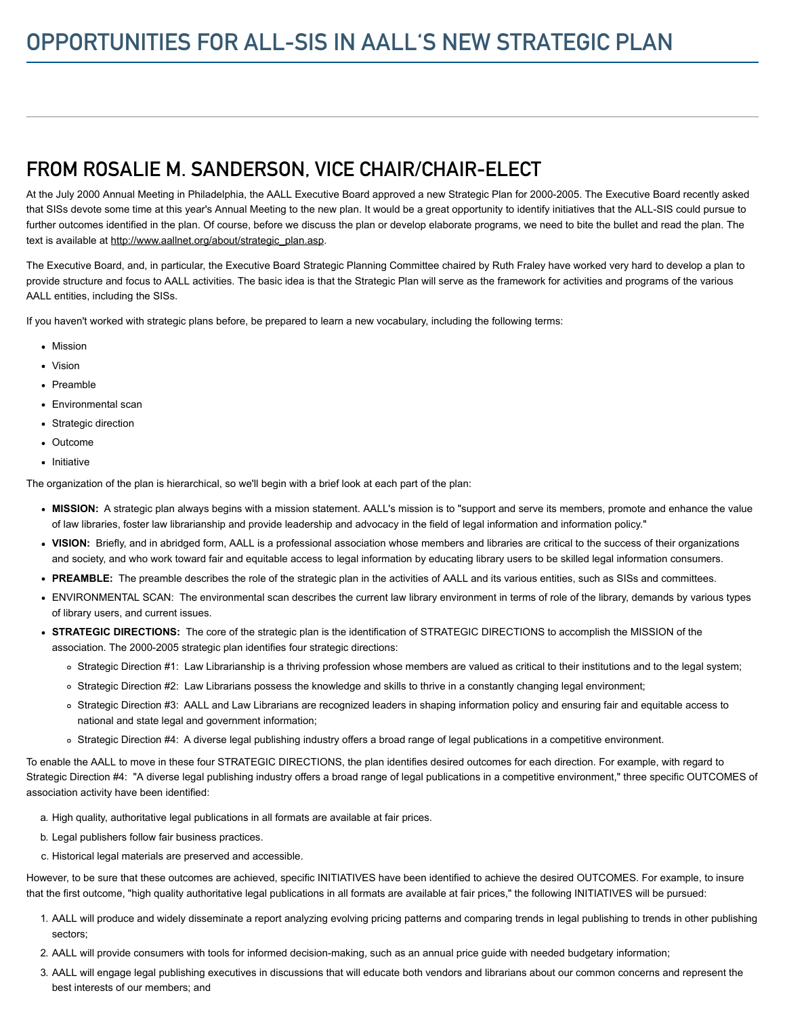### FROM ROSALIE M. SANDERSON, VICE CHAIR/CHAIR-ELECT

At the July 2000 Annual Meeting in Philadelphia, the AALL Executive Board approved a new Strategic Plan for 2000-2005. The Executive Board recently asked that SISs devote some time at this year's Annual Meeting to the new plan. It would be a great opportunity to identify initiatives that the ALL-SIS could pursue to further outcomes identified in the plan. Of course, before we discuss the plan or develop elaborate programs, we need to bite the bullet and read the plan. The text is available at [http://www.aallnet.org/about/strategic\\_plan.asp](http://www.aallnet.org/about/strategic_plan.asp).

The Executive Board, and, in particular, the Executive Board Strategic Planning Committee chaired by Ruth Fraley have worked very hard to develop a plan to provide structure and focus to AALL activities. The basic idea is that the Strategic Plan will serve as the framework for activities and programs of the various AALL entities, including the SISs.

If you haven't worked with strategic plans before, be prepared to learn a new vocabulary, including the following terms:

- Mission
- Vision
- Preamble
- Environmental scan
- Strategic direction
- Outcome
- Initiative

The organization of the plan is hierarchical, so we'll begin with a brief look at each part of the plan:

- MISSION: A strategic plan always begins with a mission statement. AALL's mission is to "support and serve its members, promote and enhance the value of law libraries, foster law librarianship and provide leadership and advocacy in the field of legal information and information policy."
- VISION: Briefly, and in abridged form, AALL is a professional association whose members and libraries are critical to the success of their organizations and society, and who work toward fair and equitable access to legal information by educating library users to be skilled legal information consumers.
- PREAMBLE: The preamble describes the role of the strategic plan in the activities of AALL and its various entities, such as SISs and committees.
- ENVIRONMENTAL SCAN: The environmental scan describes the current law library environment in terms of role of the library, demands by various types of library users, and current issues.
- STRATEGIC DIRECTIONS: The core of the strategic plan is the identification of STRATEGIC DIRECTIONS to accomplish the MISSION of the association. The 2000-2005 strategic plan identifies four strategic directions:
	- o Strategic Direction #1: Law Librarianship is a thriving profession whose members are valued as critical to their institutions and to the legal system;
	- o Strategic Direction #2: Law Librarians possess the knowledge and skills to thrive in a constantly changing legal environment;
	- Strategic Direction #3: AALL and Law Librarians are recognized leaders in shaping information policy and ensuring fair and equitable access to national and state legal and government information;
	- o Strategic Direction #4: A diverse legal publishing industry offers a broad range of legal publications in a competitive environment.

To enable the AALL to move in these four STRATEGIC DIRECTIONS, the plan identifies desired outcomes for each direction. For example, with regard to Strategic Direction #4: "A diverse legal publishing industry offers a broad range of legal publications in a competitive environment," three specific OUTCOMES of association activity have been identified:

- a. High quality, authoritative legal publications in all formats are available at fair prices.
- b. Legal publishers follow fair business practices.
- c. Historical legal materials are preserved and accessible.

However, to be sure that these outcomes are achieved, specific INITIATIVES have been identified to achieve the desired OUTCOMES. For example, to insure that the first outcome, "high quality authoritative legal publications in all formats are available at fair prices," the following INITIATIVES will be pursued:

- 1. AALL will produce and widely disseminate a report analyzing evolving pricing patterns and comparing trends in legal publishing to trends in other publishing sectors;
- 2. AALL will provide consumers with tools for informed decision-making, such as an annual price guide with needed budgetary information;
- 3. AALL will engage legal publishing executives in discussions that will educate both vendors and librarians about our common concerns and represent the best interests of our members; and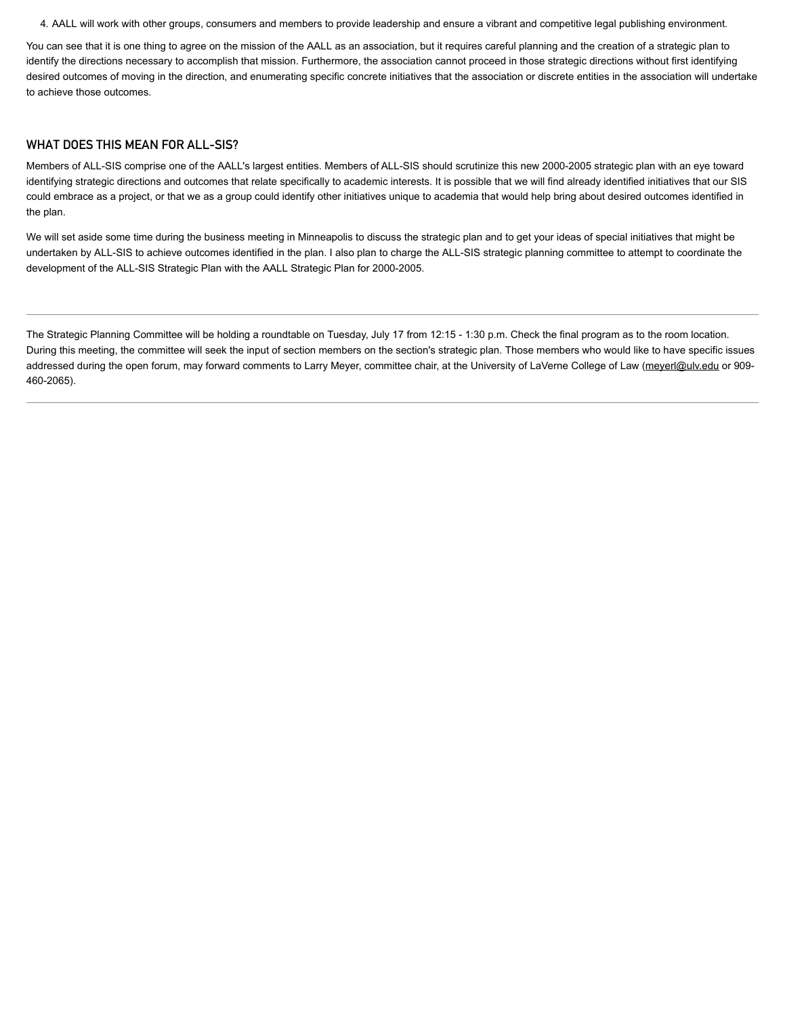4. AALL will work with other groups, consumers and members to provide leadership and ensure a vibrant and competitive legal publishing environment.

You can see that it is one thing to agree on the mission of the AALL as an association, but it requires careful planning and the creation of a strategic plan to identify the directions necessary to accomplish that mission. Furthermore, the association cannot proceed in those strategic directions without first identifying desired outcomes of moving in the direction, and enumerating specific concrete initiatives that the association or discrete entities in the association will undertake to achieve those outcomes.

#### WHAT DOES THIS MEAN FOR ALL-SIS?

Members of ALL-SIS comprise one of the AALL's largest entities. Members of ALL-SIS should scrutinize this new 2000-2005 strategic plan with an eye toward identifying strategic directions and outcomes that relate specifically to academic interests. It is possible that we will find already identified initiatives that our SIS could embrace as a project, or that we as a group could identify other initiatives unique to academia that would help bring about desired outcomes identified in the plan.

We will set aside some time during the business meeting in Minneapolis to discuss the strategic plan and to get your ideas of special initiatives that might be undertaken by ALL-SIS to achieve outcomes identified in the plan. I also plan to charge the ALL-SIS strategic planning committee to attempt to coordinate the development of the ALL-SIS Strategic Plan with the AALL Strategic Plan for 2000-2005.

The Strategic Planning Committee will be holding a roundtable on Tuesday, July 17 from 12:15 - 1:30 p.m. Check the final program as to the room location. During this meeting, the committee will seek the input of section members on the section's strategic plan. Those members who would like to have specific issues addressed during the open forum, may forward comments to Larry Meyer, committee chair, at the University of LaVerne College of Law [\(meyerl@ulv.edu](mailto:meyerl@ulv.edu) or 909-460-2065).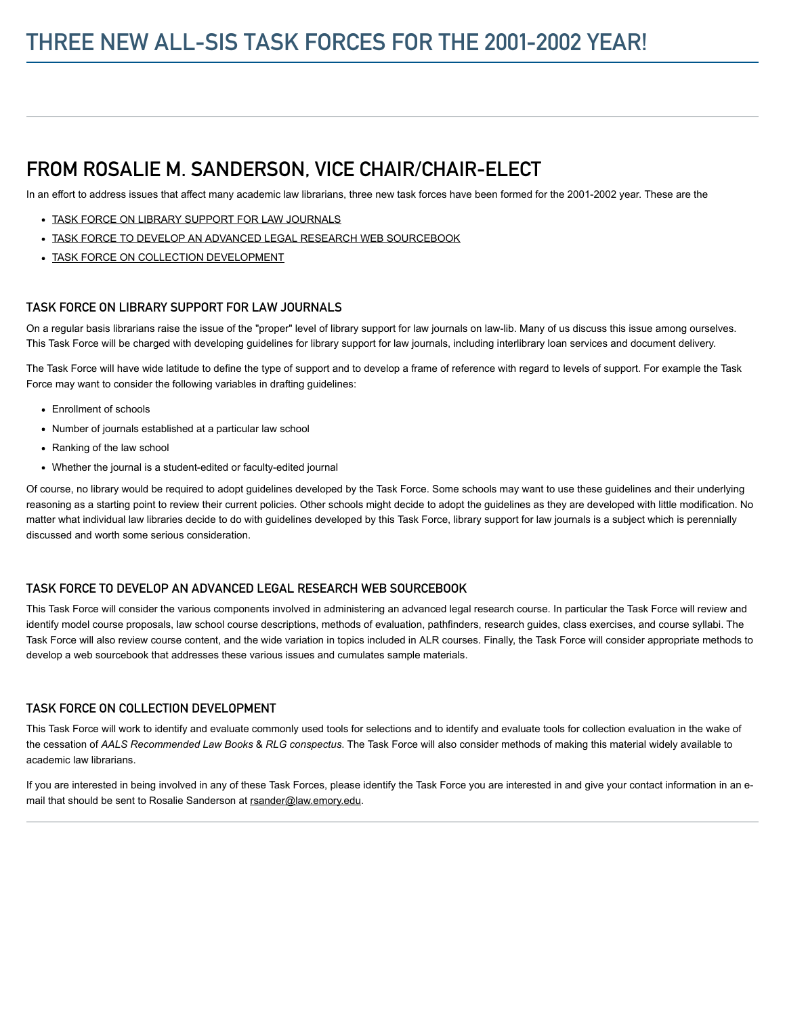# FROM ROSALIE M. SANDERSON, VICE CHAIR/CHAIR-ELECT

In an effort to address issues that affect many academic law librarians, three new task forces have been formed for the 2001-2002 year. These are the

- [TASK FORCE ON LIBRARY SUPPORT FOR LAW JOURNALS](#page-12-0)
- [TASK FORCE TO DEVELOP AN ADVANCED LEGAL RESEARCH WEB SOURCEBOOK](#page-12-1)
- [TASK FORCE ON COLLECTION DEVELOPMENT](#page-12-2)

#### <span id="page-12-0"></span>TASK FORCE ON LIBRARY SUPPORT FOR LAW JOURNALS

On a regular basis librarians raise the issue of the "proper" level of library support for law journals on law-lib. Many of us discuss this issue among ourselves. This Task Force will be charged with developing guidelines for library support for law journals, including interlibrary loan services and document delivery.

The Task Force will have wide latitude to define the type of support and to develop a frame of reference with regard to levels of support. For example the Task Force may want to consider the following variables in drafting guidelines:

- Enrollment of schools
- Number of journals established at a particular law school
- Ranking of the law school
- Whether the journal is a student-edited or faculty-edited journal

Of course, no library would be required to adopt guidelines developed by the Task Force. Some schools may want to use these guidelines and their underlying reasoning as a starting point to review their current policies. Other schools might decide to adopt the guidelines as they are developed with little modification. No matter what individual law libraries decide to do with guidelines developed by this Task Force, library support for law journals is a subject which is perennially discussed and worth some serious consideration.

#### <span id="page-12-1"></span>TASK FORCE TO DEVELOP AN ADVANCED LEGAL RESEARCH WEB SOURCEBOOK

This Task Force will consider the various components involved in administering an advanced legal research course. In particular the Task Force will review and identify model course proposals, law school course descriptions, methods of evaluation, pathfinders, research guides, class exercises, and course syllabi. The Task Force will also review course content, and the wide variation in topics included in ALR courses. Finally, the Task Force will consider appropriate methods to develop a web sourcebook that addresses these various issues and cumulates sample materials.

#### <span id="page-12-2"></span>TASK FORCE ON COLLECTION DEVELOPMENT

This Task Force will work to identify and evaluate commonly used tools for selections and to identify and evaluate tools for collection evaluation in the wake of the cessation of AALS Recommended Law Books & RLG conspectus. The Task Force will also consider methods of making this material widely available to academic law librarians.

If you are interested in being involved in any of these Task Forces, please identify the Task Force you are interested in and give your contact information in an email that should be sent to Rosalie Sanderson at [rsander@law.emory.edu](mailto:rsander@law.emory.edu).